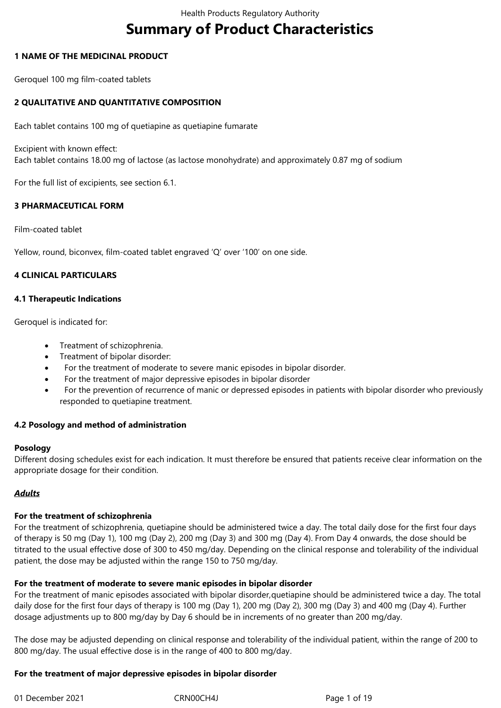# **Summary of Product Characteristics**

## **1 NAME OF THE MEDICINAL PRODUCT**

Geroquel 100 mg film-coated tablets

## **2 QUALITATIVE AND QUANTITATIVE COMPOSITION**

Each tablet contains 100 mg of quetiapine as quetiapine fumarate

Excipient with known effect: Each tablet contains 18.00 mg of lactose (as lactose monohydrate) and approximately 0.87 mg of sodium

For the full list of excipients, see section 6.1.

## **3 PHARMACEUTICAL FORM**

Film-coated tablet

Yellow, round, biconvex, film-coated tablet engraved 'Q' over '100' on one side.

## **4 CLINICAL PARTICULARS**

### **4.1 Therapeutic Indications**

Geroquel is indicated for:

- Treatment of schizophrenia.
- Treatment of bipolar disorder:
- For the treatment of moderate to severe manic episodes in bipolar disorder.
- For the treatment of major depressive episodes in bipolar disorder
- For the prevention of recurrence of manic or depressed episodes in patients with bipolar disorder who previously responded to quetiapine treatment.

### **4.2 Posology and method of administration**

### **Posology**

Different dosing schedules exist for each indication. It must therefore be ensured that patients receive clear information on the appropriate dosage for their condition.

# *Adults*

### **For the treatment of schizophrenia**

For the treatment of schizophrenia, quetiapine should be administered twice a day. The total daily dose for the first four days of therapy is 50 mg (Day 1), 100 mg (Day 2), 200 mg (Day 3) and 300 mg (Day 4). From Day 4 onwards, the dose should be titrated to the usual effective dose of 300 to 450 mg/day. Depending on the clinical response and tolerability of the individual patient, the dose may be adjusted within the range 150 to 750 mg/day.

### **For the treatment of moderate to severe manic episodes in bipolar disorder**

For the treatment of manic episodes associated with bipolar disorder, quetiapine should be administered twice a day. The total daily dose for the first four days of therapy is 100 mg (Day 1), 200 mg (Day 2), 300 mg (Day 3) and 400 mg (Day 4). Further dosage adjustments up to 800 mg/day by Day 6 should be in increments of no greater than 200 mg/day.

The dose may be adjusted depending on clinical response and tolerability of the individual patient, within the range of 200 to 800 mg/day. The usual effective dose is in the range of 400 to 800 mg/day.

### **For the treatment of major depressive episodes in bipolar disorder**

01 December 2021 CRN00CH4J CRN00CH4J Page 1 of 19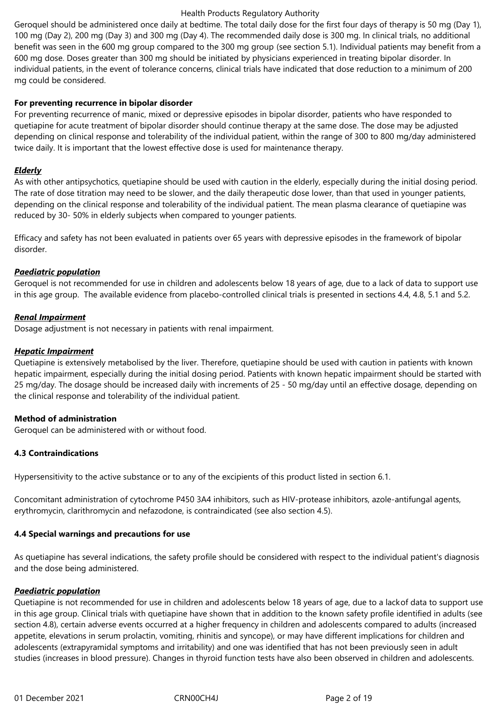Geroquel should be administered once daily at bedtime. The total daily dose for the first four days of therapy is 50 mg (Day 1), 100 mg (Day 2), 200 mg (Day 3) and 300 mg (Day 4). The recommended daily dose is 300 mg. In clinical trials, no additional benefit was seen in the 600 mg group compared to the 300 mg group (see section 5.1). Individual patients may benefit from a 600 mg dose. Doses greater than 300 mg should be initiated by physicians experienced in treating bipolar disorder. In individual patients, in the event of tolerance concerns, clinical trials have indicated that dose reduction to a minimum of 200 mg could be considered.

## **For preventing recurrence in bipolar disorder**

For preventing recurrence of manic, mixed or depressive episodes in bipolar disorder, patients who have responded to quetiapine for acute treatment of bipolar disorder should continue therapy at the same dose. The dose may be adjusted depending on clinical response and tolerability of the individual patient, within the range of 300 to 800 mg/day administered twice daily. It is important that the lowest effective dose is used for maintenance therapy.

## *Elderly*

As with other antipsychotics, quetiapine should be used with caution in the elderly, especially during the initial dosing period. The rate of dose titration may need to be slower, and the daily therapeutic dose lower, than that used in younger patients, depending on the clinical response and tolerability of the individual patient. The mean plasma clearance of quetiapine was reduced by 30- 50% in elderly subjects when compared to younger patients.

Efficacy and safety has not been evaluated in patients over 65 years with depressive episodes in the framework of bipolar disorder.

## *Paediatric population*

Geroquel is not recommended for use in children and adolescents below 18 years of age, due to a lack of data to support use in this age group. The available evidence from placebo-controlled clinical trials is presented in sections 4.4, 4.8, 5.1 and 5.2.

### *Renal Impairment*

Dosage adjustment is not necessary in patients with renal impairment.

## *Hepatic Impairment*

Quetiapine is extensively metabolised by the liver. Therefore, quetiapine should be used with caution in patients with known hepatic impairment, especially during the initial dosing period. Patients with known hepatic impairment should be started with 25 mg/day. The dosage should be increased daily with increments of 25 - 50 mg/day until an effective dosage, depending on the clinical response and tolerability of the individual patient.

### **Method of administration**

Geroquel can be administered with or without food.

# **4.3 Contraindications**

Hypersensitivity to the active substance or to any of the excipients of this product listed in section 6.1.

Concomitant administration of cytochrome P450 3A4 inhibitors, such as HIV-protease inhibitors, azole-antifungal agents, erythromycin, clarithromycin and nefazodone, is contraindicated (see also section 4.5).

### **4.4 Special warnings and precautions for use**

As quetiapine has several indications, the safety profile should be considered with respect to the individual patient's diagnosis and the dose being administered.

### *Paediatric population*

Quetiapine is not recommended for use in children and adolescents below 18 years of age, due to a lackof data to support use in this age group. Clinical trials with quetiapine have shown that in addition to the known safety profile identified in adults (see section 4.8), certain adverse events occurred at a higher frequency in children and adolescents compared to adults (increased appetite, elevations in serum prolactin, vomiting, rhinitis and syncope), or may have different implications for children and adolescents (extrapyramidal symptoms and irritability) and one was identified that has not been previously seen in adult studies (increases in blood pressure). Changes in thyroid function tests have also been observed in children and adolescents.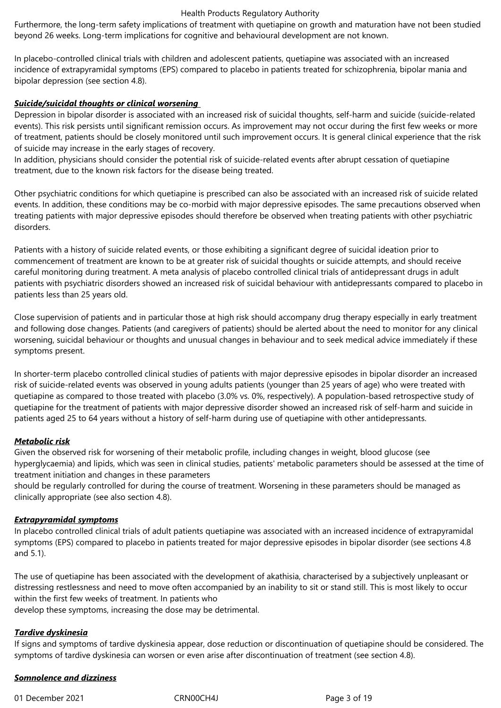Furthermore, the long-term safety implications of treatment with quetiapine on growth and maturation have not been studied beyond 26 weeks. Long-term implications for cognitive and behavioural development are not known.

In placebo-controlled clinical trials with children and adolescent patients, quetiapine was associated with an increased incidence of extrapyramidal symptoms (EPS) compared to placebo in patients treated for schizophrenia, bipolar mania and bipolar depression (see section 4.8).

## *Suicide/suicidal thoughts or clinical worsening*

Depression in bipolar disorder is associated with an increased risk of suicidal thoughts, self-harm and suicide (suicide-related events). This risk persists until significant remission occurs. As improvement may not occur during the first few weeks or more of treatment, patients should be closely monitored until such improvement occurs. It is general clinical experience that the risk of suicide may increase in the early stages of recovery.

In addition, physicians should consider the potential risk of suicide-related events after abrupt cessation of quetiapine treatment, due to the known risk factors for the disease being treated.

Other psychiatric conditions for which quetiapine is prescribed can also be associated with an increased risk of suicide related events. In addition, these conditions may be co-morbid with major depressive episodes. The same precautions observed when treating patients with major depressive episodes should therefore be observed when treating patients with other psychiatric disorders.

Patients with a history of suicide related events, or those exhibiting a significant degree of suicidal ideation prior to commencement of treatment are known to be at greater risk of suicidal thoughts or suicide attempts, and should receive careful monitoring during treatment. A meta analysis of placebo controlled clinical trials of antidepressant drugs in adult patients with psychiatric disorders showed an increased risk of suicidal behaviour with antidepressants compared to placebo in patients less than 25 years old.

Close supervision of patients and in particular those at high risk should accompany drug therapy especially in early treatment and following dose changes. Patients (and caregivers of patients) should be alerted about the need to monitor for any clinical worsening, suicidal behaviour or thoughts and unusual changes in behaviour and to seek medical advice immediately if these symptoms present.

In shorter-term placebo controlled clinical studies of patients with major depressive episodes in bipolar disorder an increased risk of suicide-related events was observed in young adults patients (younger than 25 years of age) who were treated with quetiapine as compared to those treated with placebo (3.0% vs. 0%, respectively). A population-based retrospective study of quetiapine for the treatment of patients with major depressive disorder showed an increased risk of self-harm and suicide in patients aged 25 to 64 years without a history of self-harm during use of quetiapine with other antidepressants.

### *Metabolic risk*

Given the observed risk for worsening of their metabolic profile, including changes in weight, blood glucose (see hyperglycaemia) and lipids, which was seen in clinical studies, patients' metabolic parameters should be assessed at the time of treatment initiation and changes in these parameters

should be regularly controlled for during the course of treatment. Worsening in these parameters should be managed as clinically appropriate (see also section 4.8).

### *Extrapyramidal symptoms*

In placebo controlled clinical trials of adult patients quetiapine was associated with an increased incidence of extrapyramidal symptoms (EPS) compared to placebo in patients treated for major depressive episodes in bipolar disorder (see sections 4.8 and 5.1).

The use of quetiapine has been associated with the development of akathisia, characterised by a subjectively unpleasant or distressing restlessness and need to move often accompanied by an inability to sit or stand still. This is most likely to occur within the first few weeks of treatment. In patients who

develop these symptoms, increasing the dose may be detrimental.

### *Tardive dyskinesia*

If signs and symptoms of tardive dyskinesia appear, dose reduction or discontinuation of quetiapine should be considered. The symptoms of tardive dyskinesia can worsen or even arise after discontinuation of treatment (see section 4.8).

## *Somnolence and dizziness*

01 December 2021 CRN00CH4J CRN00CH4J Page 3 of 19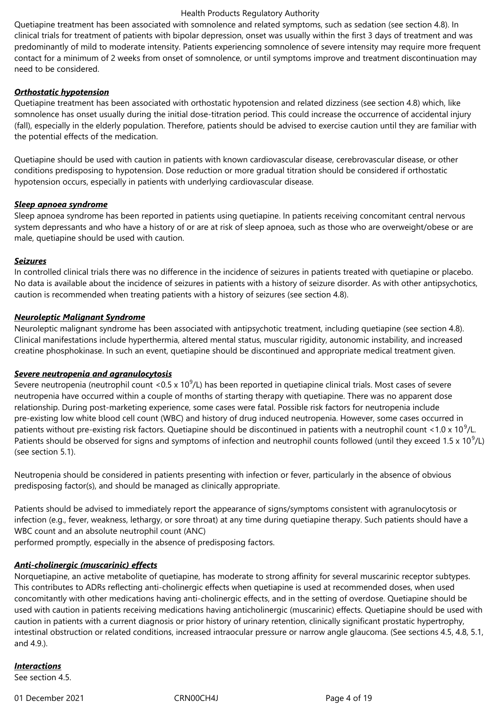Quetiapine treatment has been associated with somnolence and related symptoms, such as sedation (see section 4.8). In clinical trials for treatment of patients with bipolar depression, onset was usually within the first 3 days of treatment and was predominantly of mild to moderate intensity. Patients experiencing somnolence of severe intensity may require more frequent contact for a minimum of 2 weeks from onset of somnolence, or until symptoms improve and treatment discontinuation may need to be considered.

## *Orthostatic hypotension*

Quetiapine treatment has been associated with orthostatic hypotension and related dizziness (see section 4.8) which, like somnolence has onset usually during the initial dose-titration period. This could increase the occurrence of accidental injury (fall), especially in the elderly population. Therefore, patients should be advised to exercise caution until they are familiar with the potential effects of the medication.

Quetiapine should be used with caution in patients with known cardiovascular disease, cerebrovascular disease, or other conditions predisposing to hypotension. Dose reduction or more gradual titration should be considered if orthostatic hypotension occurs, especially in patients with underlying cardiovascular disease.

## *Sleep apnoea syndrome*

Sleep apnoea syndrome has been reported in patients using quetiapine. In patients receiving concomitant central nervous system depressants and who have a history of or are at risk of sleep apnoea, such as those who are overweight/obese or are male, quetiapine should be used with caution.

### *Seizures*

In controlled clinical trials there was no difference in the incidence of seizures in patients treated with quetiapine or placebo. No data is available about the incidence of seizures in patients with a history of seizure disorder. As with other antipsychotics, caution is recommended when treating patients with a history of seizures (see section 4.8).

## *Neuroleptic Malignant Syndrome*

Neuroleptic malignant syndrome has been associated with antipsychotic treatment, including quetiapine (see section 4.8). Clinical manifestations include hyperthermia, altered mental status, muscular rigidity, autonomic instability, and increased creatine phosphokinase. In such an event, quetiapine should be discontinued and appropriate medical treatment given.

# *Severe neutropenia and agranulocytosis*

Severe neutropenia (neutrophil count <0.5 x 10 $^9$ /L) has been reported in quetiapine clinical trials. Most cases of severe neutropenia have occurred within a couple of months of starting therapy with quetiapine. There was no apparent dose relationship. During post-marketing experience, some cases were fatal. Possible risk factors for neutropenia include pre-existing low white blood cell count (WBC) and history of drug induced neutropenia. However, some cases occurred in patients without pre-existing risk factors. Quetiapine should be discontinued in patients with a neutrophil count <1.0 x 10<sup>9</sup>/L. Patients should be observed for signs and symptoms of infection and neutrophil counts followed (until they exceed 1.5 x 10 $^9$ /L) (see section 5.1).

Neutropenia should be considered in patients presenting with infection or fever, particularly in the absence of obvious predisposing factor(s), and should be managed as clinically appropriate.

Patients should be advised to immediately report the appearance of signs/symptoms consistent with agranulocytosis or infection (e.g., fever, weakness, lethargy, or sore throat) at any time during quetiapine therapy. Such patients should have a WBC count and an absolute neutrophil count (ANC)

performed promptly, especially in the absence of predisposing factors.

# *Anti-cholinergic (muscarinic) effects*

Norquetiapine, an active metabolite of quetiapine, has moderate to strong affinity for several muscarinic receptor subtypes. This contributes to ADRs reflecting anti-cholinergic effects when quetiapine is used at recommended doses, when used concomitantly with other medications having anti-cholinergic effects, and in the setting of overdose. Quetiapine should be used with caution in patients receiving medications having anticholinergic (muscarinic) effects. Quetiapine should be used with caution in patients with a current diagnosis or prior history of urinary retention, clinically significant prostatic hypertrophy, intestinal obstruction or related conditions, increased intraocular pressure or narrow angle glaucoma. (See sections 4.5, 4.8, 5.1, and 4.9.).

# *Interactions*

See section 4.5.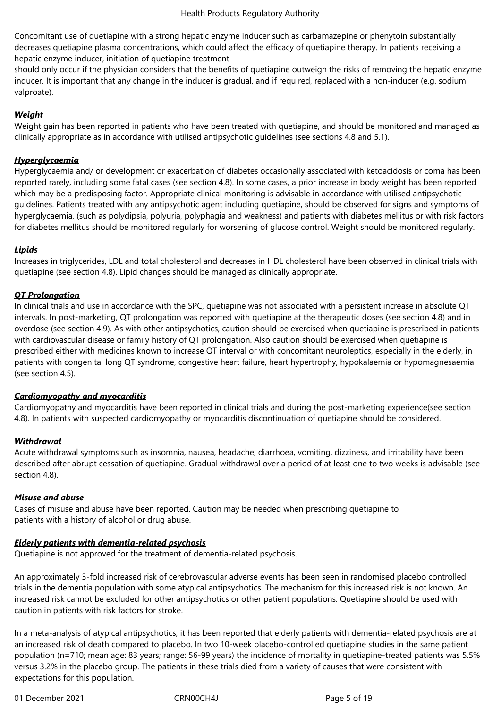Concomitant use of quetiapine with a strong hepatic enzyme inducer such as carbamazepine or phenytoin substantially decreases quetiapine plasma concentrations, which could affect the efficacy of quetiapine therapy. In patients receiving a hepatic enzyme inducer, initiation of quetiapine treatment

should only occur if the physician considers that the benefits of quetiapine outweigh the risks of removing the hepatic enzyme inducer. It is important that any change in the inducer is gradual, and if required, replaced with a non-inducer (e.g. sodium valproate).

# *Weight*

Weight gain has been reported in patients who have been treated with quetiapine, and should be monitored and managed as clinically appropriate as in accordance with utilised antipsychotic guidelines (see sections 4.8 and 5.1).

# *Hyperglycaemia*

Hyperglycaemia and/ or development or exacerbation of diabetes occasionally associated with ketoacidosis or coma has been reported rarely, including some fatal cases (see section 4.8). In some cases, a prior increase in body weight has been reported which may be a predisposing factor. Appropriate clinical monitoring is advisable in accordance with utilised antipsychotic guidelines. Patients treated with any antipsychotic agent including quetiapine, should be observed for signs and symptoms of hyperglycaemia, (such as polydipsia, polyuria, polyphagia and weakness) and patients with diabetes mellitus or with risk factors for diabetes mellitus should be monitored regularly for worsening of glucose control. Weight should be monitored regularly.

# *Lipids*

Increases in triglycerides, LDL and total cholesterol and decreases in HDL cholesterol have been observed in clinical trials with quetiapine (see section 4.8). Lipid changes should be managed as clinically appropriate.

# *QT Prolongation*

In clinical trials and use in accordance with the SPC, quetiapine was not associated with a persistent increase in absolute QT intervals. In post-marketing, QT prolongation was reported with quetiapine at the therapeutic doses (see section 4.8) and in overdose (see section 4.9). As with other antipsychotics, caution should be exercised when quetiapine is prescribed in patients with cardiovascular disease or family history of QT prolongation. Also caution should be exercised when quetiapine is prescribed either with medicines known to increase QT interval or with concomitant neuroleptics, especially in the elderly, in patients with congenital long QT syndrome, congestive heart failure, heart hypertrophy, hypokalaemia or hypomagnesaemia (see section 4.5).

# *Cardiomyopathy and myocarditis*

Cardiomyopathy and myocarditis have been reported in clinical trials and during the post-marketing experience(see section 4.8). In patients with suspected cardiomyopathy or myocarditis discontinuation of quetiapine should be considered.

# *Withdrawal*

Acute withdrawal symptoms such as insomnia, nausea, headache, diarrhoea, vomiting, dizziness, and irritability have been described after abrupt cessation of quetiapine. Gradual withdrawal over a period of at least one to two weeks is advisable (see section 4.8).

# *Misuse and abuse*

Cases of misuse and abuse have been reported. Caution may be needed when prescribing quetiapine to patients with a history of alcohol or drug abuse.

# *Elderly patients with dementia-related psychosis*

Quetiapine is not approved for the treatment of dementia-related psychosis.

An approximately 3-fold increased risk of cerebrovascular adverse events has been seen in randomised placebo controlled trials in the dementia population with some atypical antipsychotics. The mechanism for this increased risk is not known. An increased risk cannot be excluded for other antipsychotics or other patient populations. Quetiapine should be used with caution in patients with risk factors for stroke.

In a meta-analysis of atypical antipsychotics, it has been reported that elderly patients with dementia-related psychosis are at an increased risk of death compared to placebo. In two 10-week placebo-controlled quetiapine studies in the same patient population (n=710; mean age: 83 years; range: 56-99 years) the incidence of mortality in quetiapine-treated patients was 5.5% versus 3.2% in the placebo group. The patients in these trials died from a variety of causes that were consistent with expectations for this population.

01 December 2021 CRN00CH4J CRN00CH4J Page 5 of 19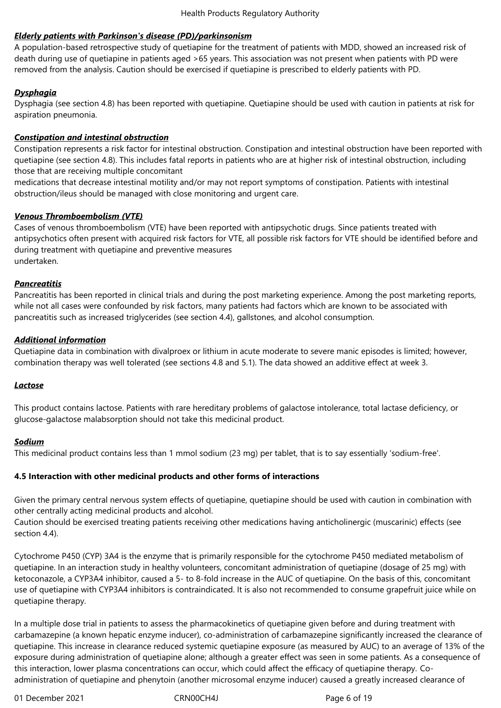# *Elderly patients with Parkinson's disease (PD)/parkinsonism*

A population-based retrospective study of quetiapine for the treatment of patients with MDD, showed an increased risk of death during use of quetiapine in patients aged >65 years. This association was not present when patients with PD were removed from the analysis. Caution should be exercised if quetiapine is prescribed to elderly patients with PD.

## *Dysphagia*

Dysphagia (see section 4.8) has been reported with quetiapine. Quetiapine should be used with caution in patients at risk for aspiration pneumonia.

## *Constipation and intestinal obstruction*

Constipation represents a risk factor for intestinal obstruction. Constipation and intestinal obstruction have been reported with quetiapine (see section 4.8). This includes fatal reports in patients who are at higher risk of intestinal obstruction, including those that are receiving multiple concomitant

medications that decrease intestinal motility and/or may not report symptoms of constipation. Patients with intestinal obstruction/ileus should be managed with close monitoring and urgent care.

## *Venous Thromboembolism (VTE)*

Cases of venous thromboembolism (VTE) have been reported with antipsychotic drugs. Since patients treated with antipsychotics often present with acquired risk factors for VTE, all possible risk factors for VTE should be identified before and during treatment with quetiapine and preventive measures undertaken.

### *Pancreatitis*

Pancreatitis has been reported in clinical trials and during the post marketing experience. Among the post marketing reports, while not all cases were confounded by risk factors, many patients had factors which are known to be associated with pancreatitis such as increased triglycerides (see section 4.4), gallstones, and alcohol consumption.

## *Additional information*

Quetiapine data in combination with divalproex or lithium in acute moderate to severe manic episodes is limited; however, combination therapy was well tolerated (see sections 4.8 and 5.1). The data showed an additive effect at week 3.

### *Lactose*

This product contains lactose. Patients with rare hereditary problems of galactose intolerance, total lactase deficiency, or glucose-galactose malabsorption should not take this medicinal product.

### *Sodium*

This medicinal product contains less than 1 mmol sodium (23 mg) per tablet, that is to say essentially 'sodium-free'.

# **4.5 Interaction with other medicinal products and other forms of interactions**

Given the primary central nervous system effects of quetiapine, quetiapine should be used with caution in combination with other centrally acting medicinal products and alcohol.

Caution should be exercised treating patients receiving other medications having anticholinergic (muscarinic) effects (see section 4.4).

Cytochrome P450 (CYP) 3A4 is the enzyme that is primarily responsible for the cytochrome P450 mediated metabolism of quetiapine. In an interaction study in healthy volunteers, concomitant administration of quetiapine (dosage of 25 mg) with ketoconazole, a CYP3A4 inhibitor, caused a 5- to 8-fold increase in the AUC of quetiapine. On the basis of this, concomitant use of quetiapine with CYP3A4 inhibitors is contraindicated. It is also not recommended to consume grapefruit juice while on quetiapine therapy.

In a multiple dose trial in patients to assess the pharmacokinetics of quetiapine given before and during treatment with carbamazepine (a known hepatic enzyme inducer), co-administration of carbamazepine significantly increased the clearance of quetiapine. This increase in clearance reduced systemic quetiapine exposure (as measured by AUC) to an average of 13% of the exposure during administration of quetiapine alone; although a greater effect was seen in some patients. As a consequence of this interaction, lower plasma concentrations can occur, which could affect the efficacy of quetiapine therapy. Coadministration of quetiapine and phenytoin (another microsomal enzyme inducer) caused a greatly increased clearance of

01 December 2021 CRN00CH4J CRN00CH4J Page 6 of 19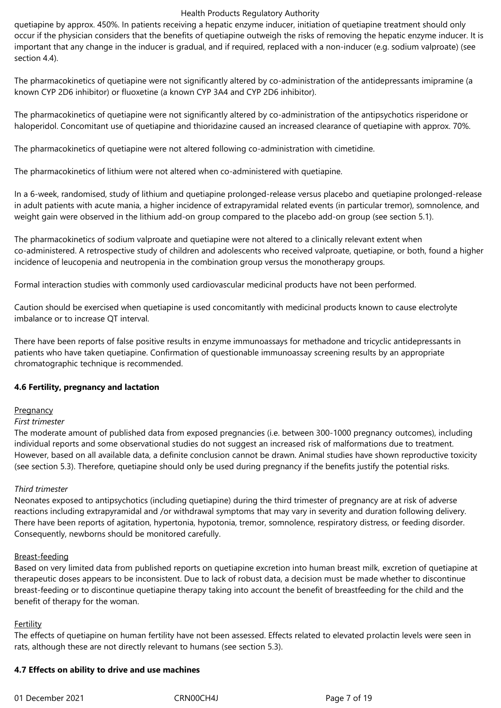quetiapine by approx. 450%. In patients receiving a hepatic enzyme inducer, initiation of quetiapine treatment should only occur if the physician considers that the benefits of quetiapine outweigh the risks of removing the hepatic enzyme inducer. It is important that any change in the inducer is gradual, and if required, replaced with a non-inducer (e.g. sodium valproate) (see section 4.4).

The pharmacokinetics of quetiapine were not significantly altered by co-administration of the antidepressants imipramine (a known CYP 2D6 inhibitor) or fluoxetine (a known CYP 3A4 and CYP 2D6 inhibitor).

The pharmacokinetics of quetiapine were not significantly altered by co-administration of the antipsychotics risperidone or haloperidol. Concomitant use of quetiapine and thioridazine caused an increased clearance of quetiapine with approx. 70%.

The pharmacokinetics of quetiapine were not altered following co-administration with cimetidine.

The pharmacokinetics of lithium were not altered when co-administered with quetiapine.

In a 6-week, randomised, study of lithium and quetiapine prolonged-release versus placebo and quetiapine prolonged-release in adult patients with acute mania, a higher incidence of extrapyramidal related events (in particular tremor), somnolence, and weight gain were observed in the lithium add-on group compared to the placebo add-on group (see section 5.1).

The pharmacokinetics of sodium valproate and quetiapine were not altered to a clinically relevant extent when co-administered. A retrospective study of children and adolescents who received valproate, quetiapine, or both, found a higher incidence of leucopenia and neutropenia in the combination group versus the monotherapy groups.

Formal interaction studies with commonly used cardiovascular medicinal products have not been performed.

Caution should be exercised when quetiapine is used concomitantly with medicinal products known to cause electrolyte imbalance or to increase QT interval*.*

There have been reports of false positive results in enzyme immunoassays for methadone and tricyclic antidepressants in patients who have taken quetiapine. Confirmation of questionable immunoassay screening results by an appropriate chromatographic technique is recommended.

### **4.6 Fertility, pregnancy and lactation**

### **Pregnancy**

### *First trimester*

The moderate amount of published data from exposed pregnancies (i.e. between 300-1000 pregnancy outcomes), including individual reports and some observational studies do not suggest an increased risk of malformations due to treatment. However, based on all available data, a definite conclusion cannot be drawn. Animal studies have shown reproductive toxicity (see section 5.3). Therefore, quetiapine should only be used during pregnancy if the benefits justify the potential risks.

### *Third trimester*

Neonates exposed to antipsychotics (including quetiapine) during the third trimester of pregnancy are at risk of adverse reactions including extrapyramidal and /or withdrawal symptoms that may vary in severity and duration following delivery. There have been reports of agitation, hypertonia, hypotonia, tremor, somnolence, respiratory distress, or feeding disorder. Consequently, newborns should be monitored carefully.

### Breast-feeding

Based on very limited data from published reports on quetiapine excretion into human breast milk, excretion of quetiapine at therapeutic doses appears to be inconsistent. Due to lack of robust data, a decision must be made whether to discontinue breast-feeding or to discontinue quetiapine therapy taking into account the benefit of breastfeeding for the child and the benefit of therapy for the woman.

### Fertility

The effects of quetiapine on human fertility have not been assessed. Effects related to elevated prolactin levels were seen in rats, although these are not directly relevant to humans (see section 5.3).

### **4.7 Effects on ability to drive and use machines**

01 December 2021 CRN00CH4J CRN00CH4J Page 7 of 19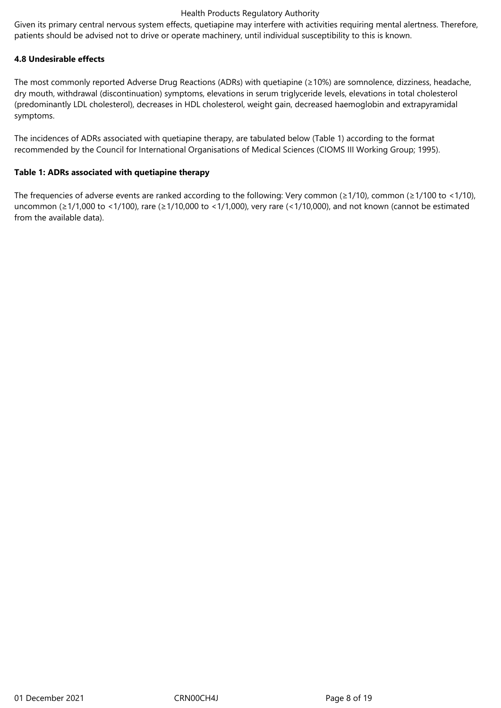Given its primary central nervous system effects, quetiapine may interfere with activities requiring mental alertness. Therefore, patients should be advised not to drive or operate machinery, until individual susceptibility to this is known.

# **4.8 Undesirable effects**

The most commonly reported Adverse Drug Reactions (ADRs) with quetiapine (≥10%) are somnolence, dizziness, headache, dry mouth, withdrawal (discontinuation) symptoms, elevations in serum triglyceride levels, elevations in total cholesterol (predominantly LDL cholesterol), decreases in HDL cholesterol, weight gain, decreased haemoglobin and extrapyramidal symptoms.

The incidences of ADRs associated with quetiapine therapy, are tabulated below (Table 1) according to the format recommended by the Council for International Organisations of Medical Sciences (CIOMS III Working Group; 1995).

## **Table 1: ADRs associated with quetiapine therapy**

The frequencies of adverse events are ranked according to the following: Very common ( $\geq$ 1/10), common ( $\geq$ 1/100 to <1/10), uncommon (≥1/1,000 to <1/100), rare (≥1/10,000 to <1/1,000), very rare (<1/10,000), and not known (cannot be estimated from the available data).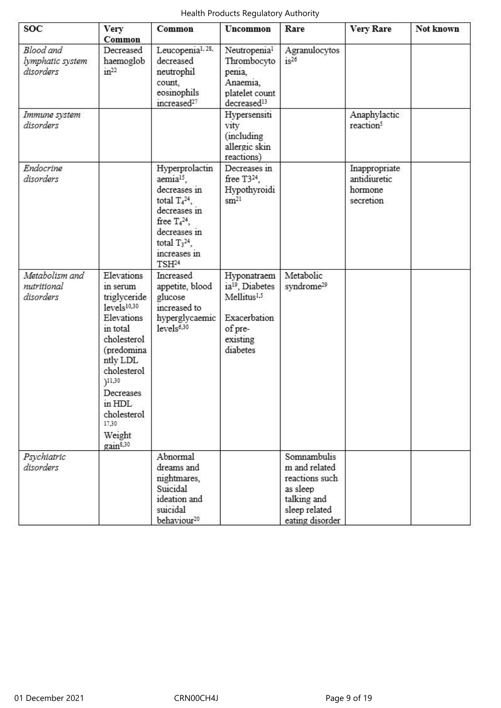| SOC                                               | <b>Very</b><br>Common                                                                                                                                                                                                                         | Common                                                                                                                                                                                    | Uncommon                                                                                                                 | Rare                                                                                                          | <b>Very Rare</b>                                      | Not known |
|---------------------------------------------------|-----------------------------------------------------------------------------------------------------------------------------------------------------------------------------------------------------------------------------------------------|-------------------------------------------------------------------------------------------------------------------------------------------------------------------------------------------|--------------------------------------------------------------------------------------------------------------------------|---------------------------------------------------------------------------------------------------------------|-------------------------------------------------------|-----------|
| <b>Blood</b> and<br>lymphatic system<br>disorders | Decreased<br>haemoglob<br>in <sup>22</sup>                                                                                                                                                                                                    | Leucopenia <sup>1, 28</sup> .<br>decreased<br>neutrophil<br>count.<br>eosinophils<br>increased <sup>27</sup>                                                                              | Neutropenia <sup>1</sup><br>Thrombocyto<br>penia,<br>Anaemia,<br>platelet count<br>decreased <sup>13</sup>               | Agranulocytos<br>$is^{26}$                                                                                    |                                                       |           |
| Immune system<br>disorders                        |                                                                                                                                                                                                                                               |                                                                                                                                                                                           | Hypersensiti<br>vity<br>(including<br>allergic skin<br>reactions)                                                        |                                                                                                               | Anaphylactic<br>reaction <sup>5</sup>                 |           |
| Endocrine<br>disorders                            |                                                                                                                                                                                                                                               | Hyperprolactin<br>aemia <sup>15</sup> ,<br>decreases in<br>total $T_4^{24}$ ,<br>decreases in<br>free $T424$ .<br>decreases in<br>total $T_3^{24}$ ,<br>increases in<br>TSH <sup>24</sup> | Decreases in<br>free $T3^{24}$ ,<br>Hypothyroidi<br>$\text{cm}^{21}$                                                     |                                                                                                               | Inappropriate<br>antidiuretic<br>hormone<br>secretion |           |
| Metabolism and<br>nutritional<br>disorders        | Elevations<br>in serum<br>triglyceride<br>levels <sup>10,30</sup><br>Elevations<br>in total<br>cholesterol<br>(predomina<br>ntly LDL<br>cholesterol<br>11,30<br>Decreases<br>in HDL<br>cholesterol<br>17,30<br>Weight<br>gain <sup>8,30</sup> | Increased<br>appetite, blood<br>glucose<br>increased to<br>hyperglycaemic<br>levels <sup>6,30</sup>                                                                                       | Hyponatraem<br>ia <sup>19</sup> , Diabetes<br>Mellitus <sup>1,5</sup><br>Exacerbation<br>of pre-<br>existing<br>diabetes | Metabolic<br>syndrome <sup>29</sup>                                                                           |                                                       |           |
| Psychiatric<br>disorders                          |                                                                                                                                                                                                                                               | Abnormal<br>dreams and<br>nightmares,<br>Suicidal<br>ideation and<br>suicidal<br>behaviour <sup>20</sup>                                                                                  |                                                                                                                          | Somnambulis<br>m and related<br>reactions such<br>as sleep<br>talking and<br>sleep related<br>eating disorder |                                                       |           |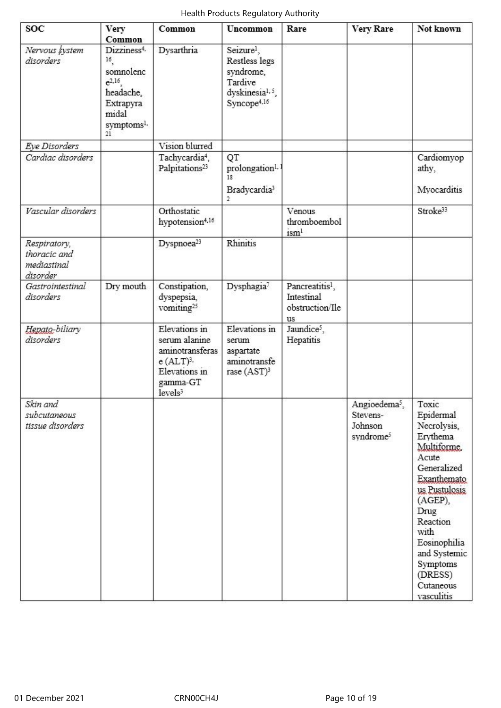| SOC                                                     | Very<br>Common                                                                                                          | Common                                                                                                                        | Uncommon                                                                                                                   | Rare                                                               | <b>Very Rare</b>                                              | Not known                                                                                                                                                                                                                                     |
|---------------------------------------------------------|-------------------------------------------------------------------------------------------------------------------------|-------------------------------------------------------------------------------------------------------------------------------|----------------------------------------------------------------------------------------------------------------------------|--------------------------------------------------------------------|---------------------------------------------------------------|-----------------------------------------------------------------------------------------------------------------------------------------------------------------------------------------------------------------------------------------------|
| Nervous <i>kystem</i><br>disorders                      | Dizziness4.<br>$^{16}$<br>somnolenc<br>$e^{2.16}$ .<br>headache.<br>Extrapyra<br>midal<br>symptoms <sup>1</sup> .<br>21 | Dysarthria                                                                                                                    | Seizure <sup>1</sup> ,<br>Restless legs<br>syndrome,<br>Tardive<br>dyskinesia <sup>1, 5</sup> ,<br>Syncope <sup>4,16</sup> |                                                                    |                                                               |                                                                                                                                                                                                                                               |
| Eye Disorders                                           |                                                                                                                         | Vision blurred                                                                                                                |                                                                                                                            |                                                                    |                                                               |                                                                                                                                                                                                                                               |
| Cardiac disorders                                       |                                                                                                                         | Tachycardia <sup>4</sup> ,<br>Palpitations <sup>23</sup>                                                                      | QT<br>prolongation <sup>1</sup> .<br>18<br>Bradycardia <sup>3</sup><br>$\mathfrak{D}^{\circ}$                              |                                                                    |                                                               | Cardiomyop<br>athy,<br>Myocarditis                                                                                                                                                                                                            |
| Vascular disorders                                      |                                                                                                                         | Orthostatic<br>hypotension4,16                                                                                                |                                                                                                                            | Venous<br>thromboembol<br>isml                                     |                                                               | Stroke <sup>33</sup>                                                                                                                                                                                                                          |
| Respiratory,<br>thoracic and<br>mediastinal<br>disorder |                                                                                                                         | Dyspnoea <sup>23</sup>                                                                                                        | Rhinitis                                                                                                                   |                                                                    |                                                               |                                                                                                                                                                                                                                               |
| Gastrointestinal<br>disorders                           | Dry mouth                                                                                                               | Constipation,<br>dyspepsia,<br>vomiting <sup>25</sup>                                                                         | Dysphagia <sup>7</sup>                                                                                                     | Pancreatitis <sup>1</sup> ,<br>Intestinal<br>obstruction/Ile<br>us |                                                               |                                                                                                                                                                                                                                               |
| Hepato-biliary<br>disorders                             |                                                                                                                         | Elevations in<br>serum alanine<br>aminotransferas<br>e (ALT) <sup>3</sup><br>Elevations in<br>gamma-GT<br>levels <sup>3</sup> | Elevations in<br>serum<br>aspartate<br>aminotransfe<br>$rase(AST)^3$                                                       | Jaundice <sup>5</sup> ,<br>Hepatitis                               |                                                               |                                                                                                                                                                                                                                               |
| Skin and<br>subcutaneous<br>tissue disorders            |                                                                                                                         |                                                                                                                               |                                                                                                                            |                                                                    | Angioedema <sup>5</sup> ,<br>Stevens-<br>Johnson<br>syndrome5 | Toxic<br>Epidermal<br>Necrolysis,<br>Erythema<br>Multiforme.<br>Acute<br>Generalized<br>Exanthemato<br>us Pustulosis<br>(AGEP),<br>Drug<br>Reaction<br>with<br>Eosinophilia<br>and Systemic<br>Symptoms<br>(DRESS)<br>Cutaneous<br>vasculitis |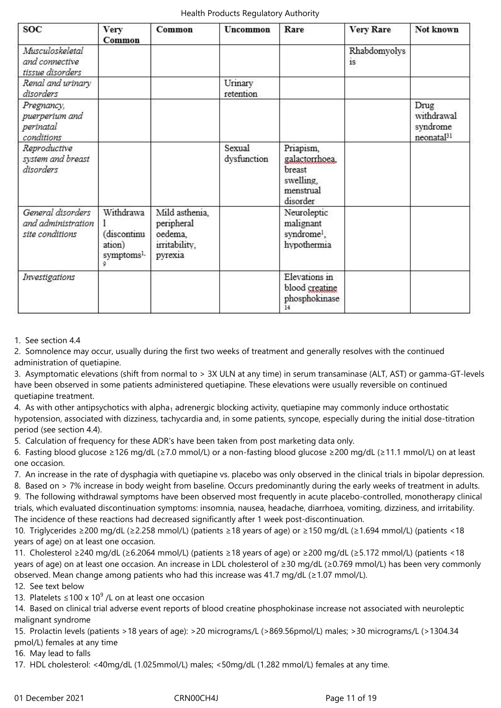| SOC                                                        | Very<br>Common                                                     | Common                                                              | Uncommon              | Rare                                                                        | <b>Very Rare</b>   | Not known                                                |
|------------------------------------------------------------|--------------------------------------------------------------------|---------------------------------------------------------------------|-----------------------|-----------------------------------------------------------------------------|--------------------|----------------------------------------------------------|
| Musculoskeletal<br>and connective<br>tissue disorders      |                                                                    |                                                                     |                       |                                                                             | Rhabdomyolys<br>is |                                                          |
| Renal and urinary<br>disorders                             |                                                                    |                                                                     | Urinary<br>retention  |                                                                             |                    |                                                          |
| Pregnancy,<br>puerperium and<br>perinatal<br>conditions    |                                                                    |                                                                     |                       |                                                                             |                    | Drug<br>withdrawal<br>syndrome<br>neonatal <sup>31</sup> |
| Reproductive<br>system and breast<br>disorders             |                                                                    |                                                                     | Sexual<br>dysfunction | Priapism,<br>galactorrhoea.<br>breast<br>swelling,<br>menstrual<br>disorder |                    |                                                          |
| General disorders<br>and administration<br>site conditions | Withdrawa<br>(discontinu<br>ation)<br>symptoms <sup>1</sup> .<br>9 | Mild asthenia,<br>peripheral<br>oedema,<br>irritability,<br>pyrexia |                       | Neuroleptic<br>malignant<br>syndrome <sup>1</sup> ,<br>hypothermia          |                    |                                                          |
| Investigations                                             |                                                                    |                                                                     |                       | Elevations in<br>blood creatine<br>phosphokinase<br>14                      |                    |                                                          |

1. See section 4.4

2. Somnolence may occur, usually during the first two weeks of treatment and generally resolves with the continued administration of quetiapine.

3. Asymptomatic elevations (shift from normal to > 3X ULN at any time) in serum transaminase (ALT, AST) or gamma-GT-levels have been observed in some patients administered quetiapine. These elevations were usually reversible on continued quetiapine treatment.

4. As with other antipsychotics with alpha<sub>1</sub> adrenergic blocking activity, quetiapine may commonly induce orthostatic hypotension, associated with dizziness, tachycardia and, in some patients, syncope, especially during the initial dose-titration period (see section 4.4).

5. Calculation of frequency for these ADR's have been taken from post marketing data only.

6. Fasting blood glucose ≥126 mg/dL (≥7.0 mmol/L) or a non-fasting blood glucose ≥200 mg/dL (≥11.1 mmol/L) on at least one occasion.

7. An increase in the rate of dysphagia with quetiapine vs. placebo was only observed in the clinical trials in bipolar depression.

8. Based on > 7% increase in body weight from baseline. Occurs predominantly during the early weeks of treatment in adults. 9. The following withdrawal symptoms have been observed most frequently in acute placebo-controlled, monotherapy clinical

trials, which evaluated discontinuation symptoms: insomnia, nausea, headache, diarrhoea, vomiting, dizziness, and irritability. The incidence of these reactions had decreased significantly after 1 week post-discontinuation.

10. Triglycerides ≥200 mg/dL (≥2.258 mmol/L) (patients ≥18 years of age) or ≥150 mg/dL (≥1.694 mmol/L) (patients <18 years of age) on at least one occasion.

11. Cholesterol ≥240 mg/dL (≥6.2064 mmol/L) (patients ≥18 years of age) or ≥200 mg/dL (≥5.172 mmol/L) (patients <18 years of age) on at least one occasion. An increase in LDL cholesterol of ≥30 mg/dL (≥0.769 mmol/L) has been very commonly observed. Mean change among patients who had this increase was 41.7 mg/dL ( $\geq$ 1.07 mmol/L).

12. See text below

13. Platelets ≤100 x 10<sup>9</sup> /L on at least one occasion

14. Based on clinical trial adverse event reports of blood creatine phosphokinase increase not associated with neuroleptic malignant syndrome

15. Prolactin levels (patients >18 years of age): >20 micrograms/L (>869.56pmol/L) males; >30 micrograms/L (>1304.34 pmol/L) females at any time

16. May lead to falls

17. HDL cholesterol: <40mg/dL (1.025mmol/L) males; <50mg/dL (1.282 mmol/L) females at any time.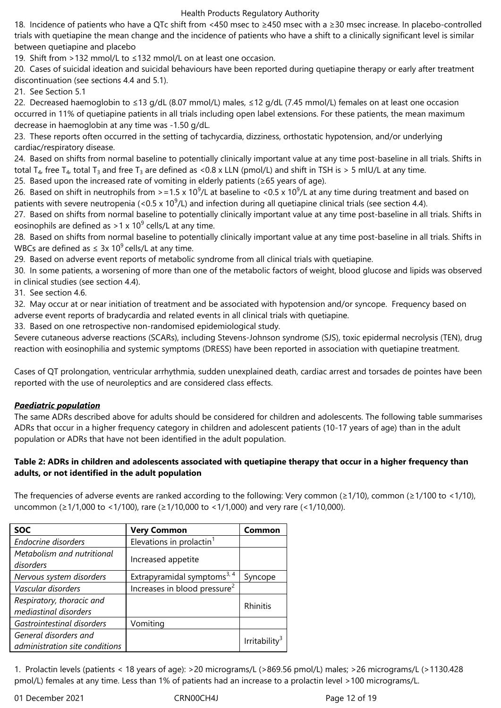18. Incidence of patients who have a QTc shift from <450 msec to ≥450 msec with a ≥30 msec increase. In placebo-controlled trials with quetiapine the mean change and the incidence of patients who have a shift to a clinically significant level is similar between quetiapine and placebo

19. Shift from >132 mmol/L to ≤132 mmol/L on at least one occasion.

20. Cases of suicidal ideation and suicidal behaviours have been reported during quetiapine therapy or early after treatment discontinuation (see sections 4.4 and 5.1).

21. See Section 5.1

22. Decreased haemoglobin to ≤13 g/dL (8.07 mmol/L) males, ≤12 g/dL (7.45 mmol/L) females on at least one occasion occurred in 11% of quetiapine patients in all trials including open label extensions. For these patients, the mean maximum decrease in haemoglobin at any time was -1.50 g/dL.

23. These reports often occurred in the setting of tachycardia, dizziness, orthostatic hypotension, and/or underlying cardiac/respiratory disease.

24. Based on shifts from normal baseline to potentially clinically important value at any time post-baseline in all trials. Shifts in total  $T_{4}$ , free  $T_{4}$ , total  $T_{3}$  and free  $T_{3}$  are defined as <0.8 x LLN (pmol/L) and shift in TSH is > 5 mIU/L at any time.

25. Based upon the increased rate of vomiting in elderly patients ( $\geq 65$  years of age).

26. Based on shift in neutrophils from >=1.5 x 10<sup>9</sup>/L at baseline to <0.5 x 10<sup>9</sup>/L at any time during treatment and based on patients with severe neutropenia (<0.5 x 10<sup>9</sup>/L) and infection during all quetiapine clinical trials (see section 4.4).

27. Based on shifts from normal baseline to potentially clinically important value at any time post-baseline in all trials. Shifts in eosinophils are defined as >1 x 10<sup>9</sup> cells/L at any time.

28. Based on shifts from normal baseline to potentially clinically important value at any time post-baseline in all trials. Shifts in WBCs are defined as  $\leq 3x$  10<sup>9</sup> cells/L at any time.

29. Based on adverse event reports of metabolic syndrome from all clinical trials with quetiapine.

30. In some patients, a worsening of more than one of the metabolic factors of weight, blood glucose and lipids was observed in clinical studies (see section 4.4).

31. See section 4.6.

32. May occur at or near initiation of treatment and be associated with hypotension and/or syncope. Frequency based on adverse event reports of bradycardia and related events in all clinical trials with quetiapine.

33. Based on one retrospective non-randomised epidemiological study.

Severe cutaneous adverse reactions (SCARs), including Stevens-Johnson syndrome (SJS), toxic epidermal necrolysis (TEN), drug reaction with eosinophilia and systemic symptoms (DRESS) have been reported in association with quetiapine treatment.

Cases of QT prolongation, ventricular arrhythmia, sudden unexplained death, cardiac arrest and torsades de pointes have been reported with the use of neuroleptics and are considered class effects.

# *Paediatric population*

The same ADRs described above for adults should be considered for children and adolescents. The following table summarises ADRs that occur in a higher frequency category in children and adolescent patients (10-17 years of age) than in the adult population or ADRs that have not been identified in the adult population.

# **Table 2: ADRs in children and adolescents associated with quetiapine therapy that occur in a higher frequency than adults, or not identified in the adult population**

The frequencies of adverse events are ranked according to the following: Very common ( $\geq$ 1/10), common ( $\geq$ 1/100 to <1/10), uncommon (≥1/1,000 to <1/100), rare (≥1/10,000 to <1/1,000) and very rare (<1/10,000).

| <b>SOC</b>                                              | <b>Very Common</b>                       | Common                    |
|---------------------------------------------------------|------------------------------------------|---------------------------|
| Endocrine disorders                                     | Elevations in prolactin <sup>1</sup>     |                           |
| Metabolism and nutritional<br>disorders                 | Increased appetite                       |                           |
| Nervous system disorders                                | Extrapyramidal symptoms <sup>3, 4</sup>  | Syncope                   |
| Vascular disorders                                      | Increases in blood pressure <sup>2</sup> |                           |
| Respiratory, thoracic and<br>mediastinal disorders      |                                          | Rhinitis                  |
| Gastrointestinal disorders                              | Vomiting                                 |                           |
| General disorders and<br>administration site conditions |                                          | Irritability <sup>3</sup> |

1. Prolactin levels (patients < 18 years of age): >20 micrograms/L (>869.56 pmol/L) males; >26 micrograms/L (>1130.428 pmol/L) females at any time. Less than 1% of patients had an increase to a prolactin level >100 micrograms/L.

01 December 2021 CRN00CH4J CRNO0CH4J Page 12 of 19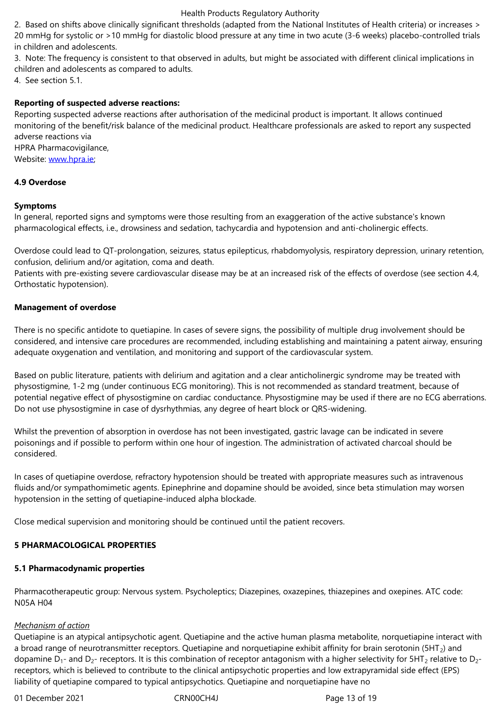in children and adolescents.

3. Note: The frequency is consistent to that observed in adults, but might be associated with different clinical implications in

children and adolescents as compared to adults.

4. See section 5.1.

# **Reporting of suspected adverse reactions:**

Reporting suspected adverse reactions after authorisation of the medicinal product is important. It allows continued monitoring of the benefit/risk balance of the medicinal product. Healthcare professionals are asked to report any suspected adverse reactions via HPRA Pharmacovigilance,

Website: www.hpra.ie;

## **4.9 Overdose**

## **Sympto[ms](http://www.hpra.ie/)**

In general, reported signs and symptoms were those resulting from an exaggeration of the active substance's known pharmacological effects, i.e., drowsiness and sedation, tachycardia and hypotension and anti-cholinergic effects.

Overdose could lead to QT-prolongation, seizures, status epilepticus, rhabdomyolysis, respiratory depression, urinary retention, confusion, delirium and/or agitation, coma and death.

Patients with pre-existing severe cardiovascular disease may be at an increased risk of the effects of overdose (see section 4.4, Orthostatic hypotension).

### **Management of overdose**

There is no specific antidote to quetiapine. In cases of severe signs, the possibility of multiple drug involvement should be considered, and intensive care procedures are recommended, including establishing and maintaining a patent airway, ensuring adequate oxygenation and ventilation, and monitoring and support of the cardiovascular system.

Based on public literature, patients with delirium and agitation and a clear anticholinergic syndrome may be treated with physostigmine, 1-2 mg (under continuous ECG monitoring). This is not recommended as standard treatment, because of potential negative effect of physostigmine on cardiac conductance. Physostigmine may be used if there are no ECG aberrations. Do not use physostigmine in case of dysrhythmias, any degree of heart block or QRS-widening.

Whilst the prevention of absorption in overdose has not been investigated, gastric lavage can be indicated in severe poisonings and if possible to perform within one hour of ingestion. The administration of activated charcoal should be considered.

In cases of quetiapine overdose, refractory hypotension should be treated with appropriate measures such as intravenous fluids and/or sympathomimetic agents. Epinephrine and dopamine should be avoided, since beta stimulation may worsen hypotension in the setting of quetiapine-induced alpha blockade.

Close medical supervision and monitoring should be continued until the patient recovers.

### **5 PHARMACOLOGICAL PROPERTIES**

### **5.1 Pharmacodynamic properties**

Pharmacotherapeutic group: Nervous system. Psycholeptics; Diazepines, oxazepines, thiazepines and oxepines. ATC code: N05A H04

### *Mechanism of action*

Quetiapine is an atypical antipsychotic agent. Quetiapine and the active human plasma metabolite, norquetiapine interact with a broad range of neurotransmitter receptors. Quetiapine and norquetiapine exhibit affinity for brain serotonin (5HT<sub>2</sub>) and dopamine  $D_1$ - and  $D_2$ - receptors. It is this combination of receptor antagonism with a higher selectivity for 5HT<sub>2</sub> relative to  $D_2$ receptors, which is believed to contribute to the clinical antipsychotic properties and low extrapyramidal side effect (EPS) liability of quetiapine compared to typical antipsychotics. Quetiapine and norquetiapine have no

01 December 2021 CRN00CH4J CRN00CH4J Page 13 of 19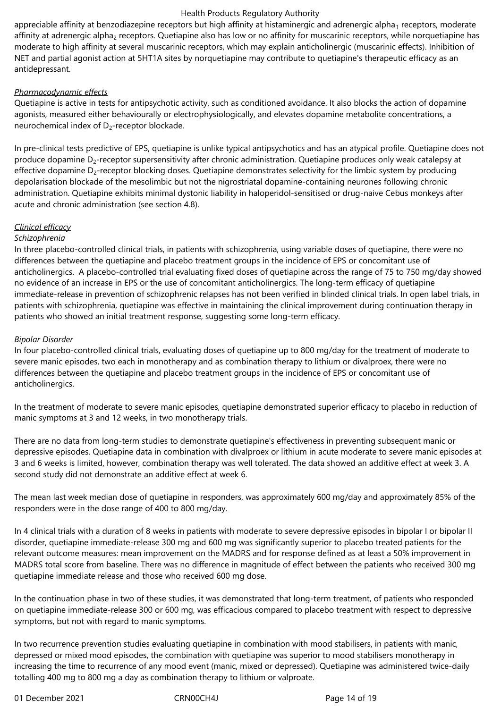appreciable affinity at benzodiazepine receptors but high affinity at histaminergic and adrenergic alpha<sub>1</sub> receptors, moderate affinity at adrenergic alpha<sub>2</sub> receptors. Quetiapine also has low or no affinity for muscarinic receptors, while norquetiapine has moderate to high affinity at several muscarinic receptors, which may explain anticholinergic (muscarinic effects). Inhibition of NET and partial agonist action at 5HT1A sites by norquetiapine may contribute to quetiapine's therapeutic efficacy as an antidepressant.

## *Pharmacodynamic effects*

Quetiapine is active in tests for antipsychotic activity, such as conditioned avoidance. It also blocks the action of dopamine agonists, measured either behaviourally or electrophysiologically, and elevates dopamine metabolite concentrations, a neurochemical index of  $D_2$ -receptor blockade.

In pre-clinical tests predictive of EPS, quetiapine is unlike typical antipsychotics and has an atypical profile. Quetiapine does not produce dopamine D<sub>2</sub>-receptor supersensitivity after chronic administration. Quetiapine produces only weak catalepsy at effective dopamine  $D<sub>2</sub>$ -receptor blocking doses. Quetiapine demonstrates selectivity for the limbic system by producing depolarisation blockade of the mesolimbic but not the nigrostriatal dopamine-containing neurones following chronic administration. Quetiapine exhibits minimal dystonic liability in haloperidol-sensitised or drug-naive Cebus monkeys after acute and chronic administration (see section 4.8).

# *Clinical efficacy*

## *Schizophrenia*

In three placebo-controlled clinical trials, in patients with schizophrenia, using variable doses of quetiapine, there were no differences between the quetiapine and placebo treatment groups in the incidence of EPS or concomitant use of anticholinergics. A placebo-controlled trial evaluating fixed doses of quetiapine across the range of 75 to 750 mg/day showed no evidence of an increase in EPS or the use of concomitant anticholinergics. The long-term efficacy of quetiapine immediate-release in prevention of schizophrenic relapses has not been verified in blinded clinical trials. In open label trials, in patients with schizophrenia, quetiapine was effective in maintaining the clinical improvement during continuation therapy in patients who showed an initial treatment response, suggesting some long-term efficacy.

## *Bipolar Disorder*

In four placebo-controlled clinical trials, evaluating doses of quetiapine up to 800 mg/day for the treatment of moderate to severe manic episodes, two each in monotherapy and as combination therapy to lithium or divalproex, there were no differences between the quetiapine and placebo treatment groups in the incidence of EPS or concomitant use of anticholinergics.

In the treatment of moderate to severe manic episodes, quetiapine demonstrated superior efficacy to placebo in reduction of manic symptoms at 3 and 12 weeks, in two monotherapy trials.

There are no data from long-term studies to demonstrate quetiapine's effectiveness in preventing subsequent manic or depressive episodes. Quetiapine data in combination with divalproex or lithium in acute moderate to severe manic episodes at 3 and 6 weeks is limited, however, combination therapy was well tolerated. The data showed an additive effect at week 3. A second study did not demonstrate an additive effect at week 6.

The mean last week median dose of quetiapine in responders, was approximately 600 mg/day and approximately 85% of the responders were in the dose range of 400 to 800 mg/day.

In 4 clinical trials with a duration of 8 weeks in patients with moderate to severe depressive episodes in bipolar I or bipolar II disorder, quetiapine immediate-release 300 mg and 600 mg was significantly superior to placebo treated patients for the relevant outcome measures: mean improvement on the MADRS and for response defined as at least a 50% improvement in MADRS total score from baseline. There was no difference in magnitude of effect between the patients who received 300 mg quetiapine immediate release and those who received 600 mg dose.

In the continuation phase in two of these studies, it was demonstrated that long-term treatment, of patients who responded on quetiapine immediate-release 300 or 600 mg, was efficacious compared to placebo treatment with respect to depressive symptoms, but not with regard to manic symptoms.

In two recurrence prevention studies evaluating quetiapine in combination with mood stabilisers, in patients with manic, depressed or mixed mood episodes, the combination with quetiapine was superior to mood stabilisers monotherapy in increasing the time to recurrence of any mood event (manic, mixed or depressed). Quetiapine was administered twice-daily totalling 400 mg to 800 mg a day as combination therapy to lithium or valproate.

01 December 2021 CRN00CH4J CRNO0CH4J Page 14 of 19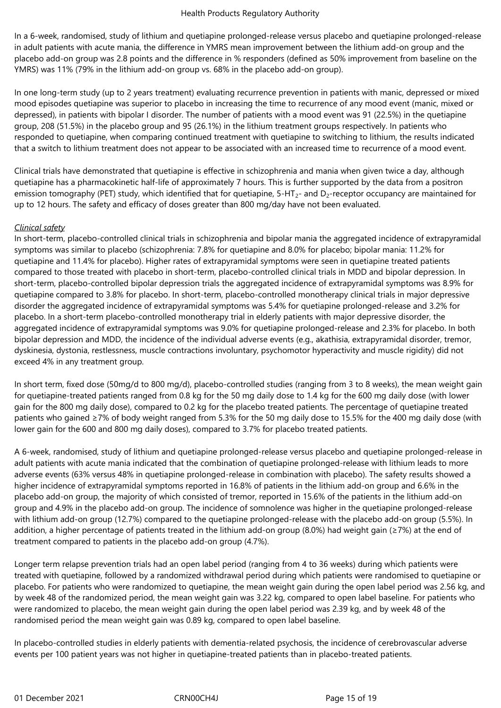In a 6-week, randomised, study of lithium and quetiapine prolonged-release versus placebo and quetiapine prolonged-release in adult patients with acute mania, the difference in YMRS mean improvement between the lithium add-on group and the placebo add-on group was 2.8 points and the difference in % responders (defined as 50% improvement from baseline on the YMRS) was 11% (79% in the lithium add-on group vs. 68% in the placebo add-on group).

In one long-term study (up to 2 years treatment) evaluating recurrence prevention in patients with manic, depressed or mixed mood episodes quetiapine was superior to placebo in increasing the time to recurrence of any mood event (manic, mixed or depressed), in patients with bipolar I disorder. The number of patients with a mood event was 91 (22.5%) in the quetiapine group, 208 (51.5%) in the placebo group and 95 (26.1%) in the lithium treatment groups respectively. In patients who responded to quetiapine, when comparing continued treatment with quetiapine to switching to lithium, the results indicated that a switch to lithium treatment does not appear to be associated with an increased time to recurrence of a mood event.

Clinical trials have demonstrated that quetiapine is effective in schizophrenia and mania when given twice a day, although quetiapine has a pharmacokinetic half-life of approximately 7 hours. This is further supported by the data from a positron emission tomography (PET) study, which identified that for quetiapine,  $5-HT_2$ - and  $D_2$ -receptor occupancy are maintained for up to 12 hours. The safety and efficacy of doses greater than 800 mg/day have not been evaluated.

## *Clinical safety*

In short-term, placebo-controlled clinical trials in schizophrenia and bipolar mania the aggregated incidence of extrapyramidal symptoms was similar to placebo (schizophrenia: 7.8% for quetiapine and 8.0% for placebo; bipolar mania: 11.2% for quetiapine and 11.4% for placebo). Higher rates of extrapyramidal symptoms were seen in quetiapine treated patients compared to those treated with placebo in short-term, placebo-controlled clinical trials in MDD and bipolar depression. In short-term, placebo-controlled bipolar depression trials the aggregated incidence of extrapyramidal symptoms was 8.9% for quetiapine compared to 3.8% for placebo. In short-term, placebo-controlled monotherapy clinical trials in major depressive disorder the aggregated incidence of extrapyramidal symptoms was 5.4% for quetiapine prolonged-release and 3.2% for placebo. In a short-term placebo-controlled monotherapy trial in elderly patients with major depressive disorder, the aggregated incidence of extrapyramidal symptoms was 9.0% for quetiapine prolonged-release and 2.3% for placebo. In both bipolar depression and MDD, the incidence of the individual adverse events (e.g., akathisia, extrapyramidal disorder, tremor, dyskinesia, dystonia, restlessness, muscle contractions involuntary, psychomotor hyperactivity and muscle rigidity) did not exceed 4% in any treatment group.

In short term, fixed dose (50mg/d to 800 mg/d), placebo-controlled studies (ranging from 3 to 8 weeks), the mean weight gain for quetiapine-treated patients ranged from 0.8 kg for the 50 mg daily dose to 1.4 kg for the 600 mg daily dose (with lower gain for the 800 mg daily dose), compared to 0.2 kg for the placebo treated patients. The percentage of quetiapine treated patients who gained ≥7% of body weight ranged from 5.3% for the 50 mg daily dose to 15.5% for the 400 mg daily dose (with lower gain for the 600 and 800 mg daily doses), compared to 3.7% for placebo treated patients.

A 6-week, randomised, study of lithium and quetiapine prolonged-release versus placebo and quetiapine prolonged-release in adult patients with acute mania indicated that the combination of quetiapine prolonged-release with lithium leads to more adverse events (63% versus 48% in quetiapine prolonged-release in combination with placebo). The safety results showed a higher incidence of extrapyramidal symptoms reported in 16.8% of patients in the lithium add-on group and 6.6% in the placebo add-on group, the majority of which consisted of tremor, reported in 15.6% of the patients in the lithium add-on group and 4.9% in the placebo add-on group. The incidence of somnolence was higher in the quetiapine prolonged-release with lithium add-on group (12.7%) compared to the quetiapine prolonged-release with the placebo add-on group (5.5%). In addition, a higher percentage of patients treated in the lithium add-on group (8.0%) had weight gain (≥7%) at the end of treatment compared to patients in the placebo add-on group (4.7%).

Longer term relapse prevention trials had an open label period (ranging from 4 to 36 weeks) during which patients were treated with quetiapine, followed by a randomized withdrawal period during which patients were randomised to quetiapine or placebo. For patients who were randomized to quetiapine, the mean weight gain during the open label period was 2.56 kg, and by week 48 of the randomized period, the mean weight gain was 3.22 kg, compared to open label baseline. For patients who were randomized to placebo, the mean weight gain during the open label period was 2.39 kg, and by week 48 of the randomised period the mean weight gain was 0.89 kg, compared to open label baseline.

In placebo-controlled studies in elderly patients with dementia-related psychosis, the incidence of cerebrovascular adverse events per 100 patient years was not higher in quetiapine-treated patients than in placebo-treated patients.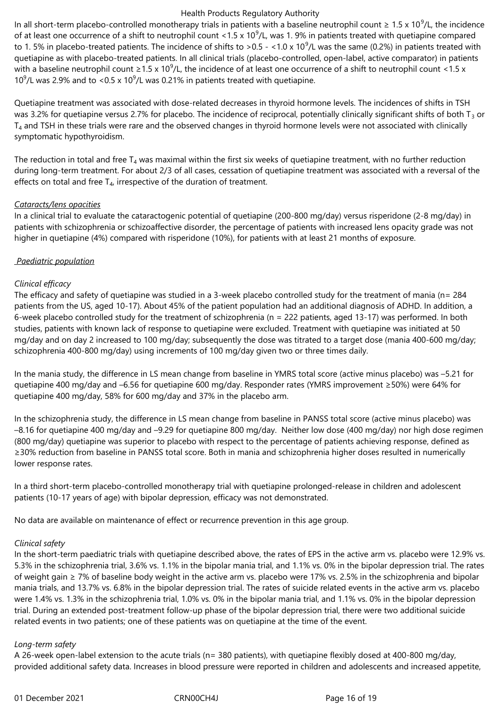In all short-term placebo-controlled monotherapy trials in patients with a baseline neutrophil count ≥ 1.5 x 10<sup>9</sup>/L, the incidence of at least one occurrence of a shift to neutrophil count <1.5 x 10<sup>9</sup>/L, was 1. 9% in patients treated with quetiapine compared to 1. 5% in placebo-treated patients. The incidence of shifts to >0.5 - <1.0 x 10<sup>9</sup>/L was the same (0.2%) in patients treated with quetiapine as with placebo-treated patients. In all clinical trials (placebo-controlled, open-label, active comparator) in patients with a baseline neutrophil count ≥1.5 x 10<sup>9</sup>/L, the incidence of at least one occurrence of a shift to neutrophil count <1.5 x 10<sup>9</sup>/L was 2.9% and to <0.5 x 10<sup>9</sup>/L was 0.21% in patients treated with quetiapine.

Quetiapine treatment was associated with dose-related decreases in thyroid hormone levels. The incidences of shifts in TSH was 3.2% for quetiapine versus 2.7% for placebo. The incidence of reciprocal, potentially clinically significant shifts of both  $T_3$  or  $T<sub>4</sub>$  and TSH in these trials were rare and the observed changes in thyroid hormone levels were not associated with clinically symptomatic hypothyroidism.

The reduction in total and free  $T_4$  was maximal within the first six weeks of quetiapine treatment, with no further reduction during long-term treatment. For about 2/3 of all cases, cessation of quetiapine treatment was associated with a reversal of the effects on total and free  $T_{4}$ , irrespective of the duration of treatment.

## *Cataracts/lens opacities*

In a clinical trial to evaluate the cataractogenic potential of quetiapine (200-800 mg/day) versus risperidone (2-8 mg/day) in patients with schizophrenia or schizoaffective disorder, the percentage of patients with increased lens opacity grade was not higher in quetiapine (4%) compared with risperidone (10%), for patients with at least 21 months of exposure.

# *Paediatric population*

## *Clinical efficacy*

The efficacy and safety of quetiapine was studied in a 3-week placebo controlled study for the treatment of mania (n= 284 patients from the US, aged 10-17). About 45% of the patient population had an additional diagnosis of ADHD. In addition, a 6-week placebo controlled study for the treatment of schizophrenia (n = 222 patients, aged 13-17) was performed. In both studies, patients with known lack of response to quetiapine were excluded. Treatment with quetiapine was initiated at 50 mg/day and on day 2 increased to 100 mg/day; subsequently the dose was titrated to a target dose (mania 400-600 mg/day; schizophrenia 400-800 mg/day) using increments of 100 mg/day given two or three times daily.

In the mania study, the difference in LS mean change from baseline in YMRS total score (active minus placebo) was –5.21 for quetiapine 400 mg/day and –6.56 for quetiapine 600 mg/day. Responder rates (YMRS improvement ≥50%) were 64% for quetiapine 400 mg/day, 58% for 600 mg/day and 37% in the placebo arm.

In the schizophrenia study, the difference in LS mean change from baseline in PANSS total score (active minus placebo) was –8.16 for quetiapine 400 mg/day and –9.29 for quetiapine 800 mg/day. Neither low dose (400 mg/day) nor high dose regimen (800 mg/day) quetiapine was superior to placebo with respect to the percentage of patients achieving response, defined as ≥30% reduction from baseline in PANSS total score. Both in mania and schizophrenia higher doses resulted in numerically lower response rates.

In a third short-term placebo-controlled monotherapy trial with quetiapine prolonged-release in children and adolescent patients (10-17 years of age) with bipolar depression, efficacy was not demonstrated.

No data are available on maintenance of effect or recurrence prevention in this age group.

### *Clinical safety*

In the short-term paediatric trials with quetiapine described above, the rates of EPS in the active arm vs. placebo were 12.9% vs. 5.3% in the schizophrenia trial, 3.6% vs. 1.1% in the bipolar mania trial, and 1.1% vs. 0% in the bipolar depression trial. The rates of weight gain ≥ 7% of baseline body weight in the active arm vs. placebo were 17% vs. 2.5% in the schizophrenia and bipolar mania trials, and 13.7% vs. 6.8% in the bipolar depression trial. The rates of suicide related events in the active arm vs. placebo were 1.4% vs. 1.3% in the schizophrenia trial, 1.0% vs. 0% in the bipolar mania trial, and 1.1% vs. 0% in the bipolar depression trial. During an extended post-treatment follow-up phase of the bipolar depression trial, there were two additional suicide related events in two patients; one of these patients was on quetiapine at the time of the event.

### *Long-term safety*

A 26-week open-label extension to the acute trials (n= 380 patients), with quetiapine flexibly dosed at 400-800 mg/day, provided additional safety data. Increases in blood pressure were reported in children and adolescents and increased appetite,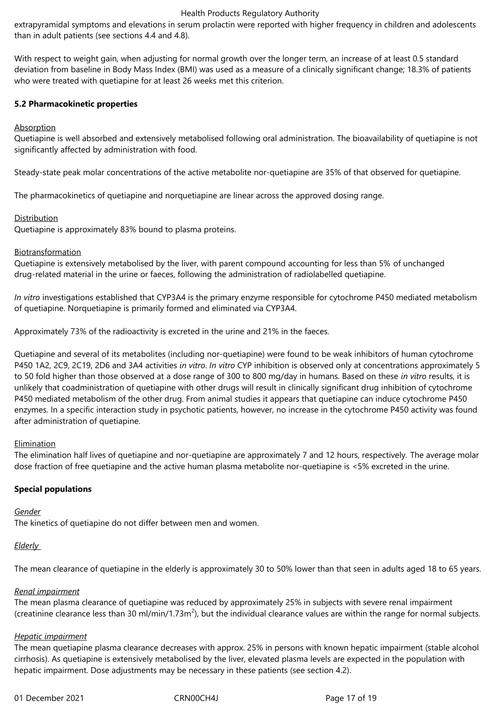extrapyramidal symptoms and elevations in serum prolactin were reported with higher frequency in children and adolescents than in adult patients (see sections 4.4 and 4.8).

With respect to weight gain, when adjusting for normal growth over the longer term, an increase of at least 0.5 standard deviation from baseline in Body Mass Index (BMI) was used as a measure of a clinically significant change; 18.3% of patients who were treated with quetiapine for at least 26 weeks met this criterion.

#### **5.2 Pharmacokinetic properties**

#### Absorption

Quetiapine is well absorbed and extensively metabolised following oral administration. The bioavailability of quetiapine is not significantly affected by administration with food.

Steady-state peak molar concentrations of the active metabolite nor-quetiapine are 35% of that observed for quetiapine.

The pharmacokinetics of quetiapine and norquetiapine are linear across the approved dosing range.

#### **Distribution**

Quetiapine is approximately 83% bound to plasma proteins.

#### Biotransformation

Quetiapine is extensively metabolised by the liver, with parent compound accounting for less than 5% of unchanged drug-related material in the urine or faeces, following the administration of radiolabelled quetiapine.

*In vitro* investigations established that CYP3A4 is the primary enzyme responsible for cytochrome P450 mediated metabolism of quetiapine. Norquetiapine is primarily formed and eliminated via CYP3A4.

Approximately 73% of the radioactivity is excreted in the urine and 21% in the faeces.

Quetiapine and several of its metabolites (including nor-quetiapine) were found to be weak inhibitors of human cytochrome P450 1A2, 2C9, 2C19, 2D6 and 3A4 activities *in vitro*. *In vitro* CYP inhibition is observed only at concentrations approximately 5 to 50 fold higher than those observed at a dose range of 300 to 800 mg/day in humans. Based on these *in vitro* results, it is unlikely that coadministration of quetiapine with other drugs will result in clinically significant drug inhibition of cytochrome P450 mediated metabolism of the other drug. From animal studies it appears that quetiapine can induce cytochrome P450 enzymes. In a specific interaction study in psychotic patients, however, no increase in the cytochrome P450 activity was found after administration of quetiapine.

### Elimination

The elimination half lives of quetiapine and nor-quetiapine are approximately 7 and 12 hours, respectively. The average molar dose fraction of free quetiapine and the active human plasma metabolite nor-quetiapine is <5% excreted in the urine.

### **Special populations**

*Gender*

The kinetics of quetiapine do not differ between men and women.

### *Elderly*

The mean clearance of quetiapine in the elderly is approximately 30 to 50% lower than that seen in adults aged 18 to 65 years.

### *Renal impairment*

The mean plasma clearance of quetiapine was reduced by approximately 25% in subjects with severe renal impairment (creatinine clearance less than 30 ml/min/1.73m<sup>2</sup>), but the individual clearance values are within the range for normal subjects.

#### *Hepatic impairment*

The mean quetiapine plasma clearance decreases with approx. 25% in persons with known hepatic impairment (stable alcohol cirrhosis). As quetiapine is extensively metabolised by the liver, elevated plasma levels are expected in the population with hepatic impairment. Dose adjustments may be necessary in these patients (see section 4.2).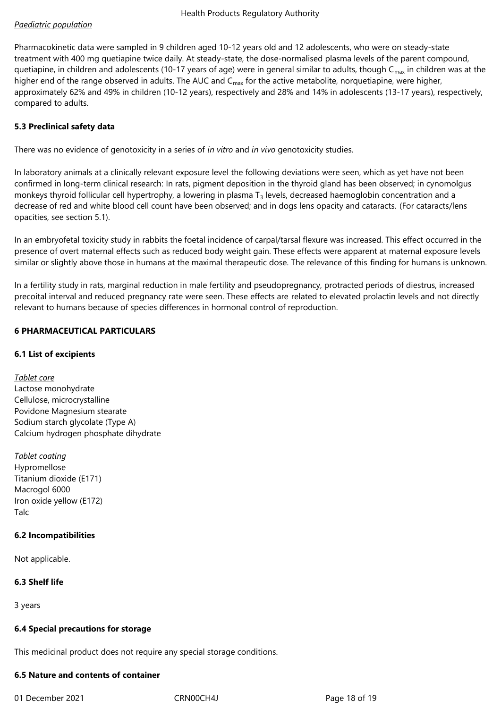## *Paediatric population*

Pharmacokinetic data were sampled in 9 children aged 10-12 years old and 12 adolescents, who were on steady-state treatment with 400 mg quetiapine twice daily. At steady-state, the dose-normalised plasma levels of the parent compound, quetiapine, in children and adolescents (10-17 years of age) were in general similar to adults, though  $C_{\text{max}}$  in children was at the higher end of the range observed in adults. The AUC and  $C_{\text{max}}$  for the active metabolite, norquetiapine, were higher, approximately 62% and 49% in children (10-12 years), respectively and 28% and 14% in adolescents (13-17 years), respectively, compared to adults.

## **5.3 Preclinical safety data**

There was no evidence of genotoxicity in a series of *in vitro* and *in vivo* genotoxicity studies.

In laboratory animals at a clinically relevant exposure level the following deviations were seen, which as yet have not been confirmed in long-term clinical research: In rats, pigment deposition in the thyroid gland has been observed; in cynomolgus monkeys thyroid follicular cell hypertrophy, a lowering in plasma  $T_3$  levels, decreased haemoglobin concentration and a decrease of red and white blood cell count have been observed; and in dogs lens opacity and cataracts. (For cataracts/lens opacities, see section 5.1).

In an embryofetal toxicity study in rabbits the foetal incidence of carpal/tarsal flexure was increased. This effect occurred in the presence of overt maternal effects such as reduced body weight gain. These effects were apparent at maternal exposure levels similar or slightly above those in humans at the maximal therapeutic dose. The relevance of this finding for humans is unknown.

In a fertility study in rats, marginal reduction in male fertility and pseudopregnancy, protracted periods of diestrus, increased precoital interval and reduced pregnancy rate were seen. These effects are related to elevated prolactin levels and not directly relevant to humans because of species differences in hormonal control of reproduction.

## **6 PHARMACEUTICAL PARTICULARS**

## **6.1 List of excipients**

*Tablet core*

Lactose monohydrate Cellulose, microcrystalline Povidone Magnesium stearate Sodium starch glycolate (Type A) Calcium hydrogen phosphate dihydrate

*Tablet coating* Hypromellose Titanium dioxide (E171) Macrogol 6000 Iron oxide yellow (E172)

### **6.2 Incompatibilities**

Not applicable.

### **6.3 Shelf life**

3 years

**Talc** 

### **6.4 Special precautions for storage**

This medicinal product does not require any special storage conditions.

## **6.5 Nature and contents of container**

01 December 2021 CRN00CH4J CRNO0CH4J Page 18 of 19